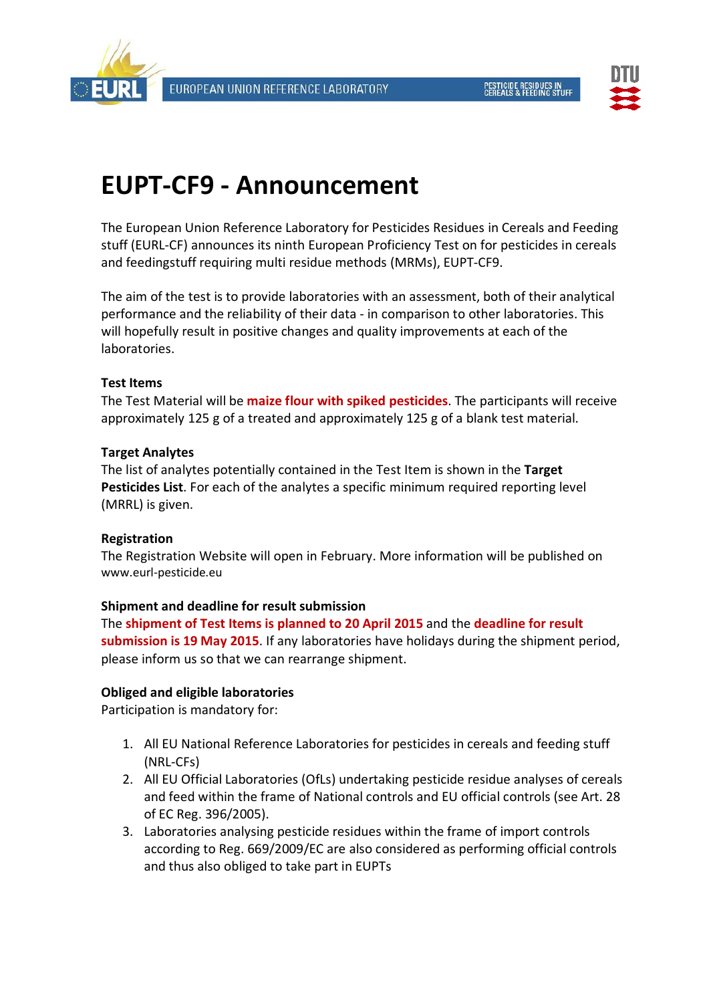



# **EUPT-CF9 - Announcement**

The European Union Reference Laboratory for Pesticides Residues in Cereals and Feeding stuff (EURL-CF) announces its ninth European Proficiency Test on for pesticides in cereals and feedingstuff requiring multi residue methods (MRMs), EUPT-CF9.

The aim of the test is to provide laboratories with an assessment, both of their analytical performance and the reliability of their data - in comparison to other laboratories. This will hopefully result in positive changes and quality improvements at each of the laboratories.

## **Test Items**

The Test Material will be **maize flour with spiked pesticides**. The participants will receive approximately 125 g of a treated and approximately 125 g of a blank test material.

## **Target Analytes**

The list of analytes potentially contained in the Test Item is shown in the **Target Pesticides List**. For each of the analytes a specific minimum required reporting level (MRRL) is given.

#### **Registration**

The Registration Website will open in February. More information will be published on [www.eurl-pesticide.eu](http://www.eurl-pesticide.eu/) 

#### **Shipment and deadline for result submission**

The **shipment of Test Items is planned to 20 April 2015** and the **deadline for result submission is 19 May 2015**. If any laboratories have holidays during the shipment period, please inform us so that we can rearrange shipment.

## **Obliged and eligible laboratories**

Participation is mandatory for:

- 1. All EU National Reference Laboratories for pesticides in cereals and feeding stuff (NRL-CFs)
- 2. All EU Official Laboratories (OfLs) undertaking pesticide residue analyses of cereals and feed within the frame of National controls and EU official controls (see Art. 28 of EC Reg. 396/2005).
- 3. Laboratories analysing pesticide residues within the frame of import controls according to Reg. 669/2009/EC are also considered as performing official controls and thus also obliged to take part in EUPTs